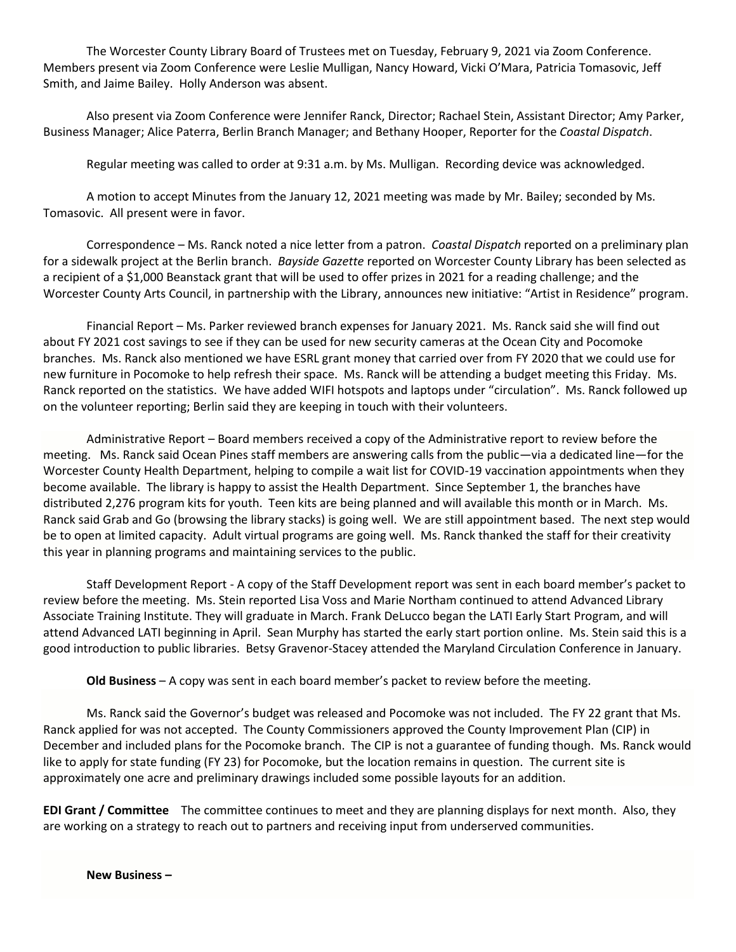The Worcester County Library Board of Trustees met on Tuesday, February 9, 2021 via Zoom Conference. Members present via Zoom Conference were Leslie Mulligan, Nancy Howard, Vicki O'Mara, Patricia Tomasovic, Jeff Smith, and Jaime Bailey. Holly Anderson was absent.

Also present via Zoom Conference were Jennifer Ranck, Director; Rachael Stein, Assistant Director; Amy Parker, Business Manager; Alice Paterra, Berlin Branch Manager; and Bethany Hooper, Reporter for the *Coastal Dispatch*.

Regular meeting was called to order at 9:31 a.m. by Ms. Mulligan. Recording device was acknowledged.

A motion to accept Minutes from the January 12, 2021 meeting was made by Mr. Bailey; seconded by Ms. Tomasovic. All present were in favor.

Correspondence – Ms. Ranck noted a nice letter from a patron. *Coastal Dispatch* reported on a preliminary plan for a sidewalk project at the Berlin branch. *Bayside Gazette* reported on Worcester County Library has been selected as a recipient of a \$1,000 Beanstack grant that will be used to offer prizes in 2021 for a reading challenge; and the Worcester County Arts Council, in partnership with the Library, announces new initiative: "Artist in Residence" program.

Financial Report – Ms. Parker reviewed branch expenses for January 2021. Ms. Ranck said she will find out about FY 2021 cost savings to see if they can be used for new security cameras at the Ocean City and Pocomoke branches. Ms. Ranck also mentioned we have ESRL grant money that carried over from FY 2020 that we could use for new furniture in Pocomoke to help refresh their space. Ms. Ranck will be attending a budget meeting this Friday. Ms. Ranck reported on the statistics. We have added WIFI hotspots and laptops under "circulation". Ms. Ranck followed up on the volunteer reporting; Berlin said they are keeping in touch with their volunteers.

Administrative Report – Board members received a copy of the Administrative report to review before the meeting. Ms. Ranck said Ocean Pines staff members are answering calls from the public—via a dedicated line—for the Worcester County Health Department, helping to compile a wait list for COVID-19 vaccination appointments when they become available. The library is happy to assist the Health Department. Since September 1, the branches have distributed 2,276 program kits for youth. Teen kits are being planned and will available this month or in March. Ms. Ranck said Grab and Go (browsing the library stacks) is going well. We are still appointment based. The next step would be to open at limited capacity. Adult virtual programs are going well. Ms. Ranck thanked the staff for their creativity this year in planning programs and maintaining services to the public.

Staff Development Report - A copy of the Staff Development report was sent in each board member's packet to review before the meeting. Ms. Stein reported Lisa Voss and Marie Northam continued to attend Advanced Library Associate Training Institute. They will graduate in March. Frank DeLucco began the LATI Early Start Program, and will attend Advanced LATI beginning in April. Sean Murphy has started the early start portion online. Ms. Stein said this is a good introduction to public libraries. Betsy Gravenor-Stacey attended the Maryland Circulation Conference in January.

**Old Business** – A copy was sent in each board member's packet to review before the meeting.

Ms. Ranck said the Governor's budget was released and Pocomoke was not included. The FY 22 grant that Ms. Ranck applied for was not accepted. The County Commissioners approved the County Improvement Plan (CIP) in December and included plans for the Pocomoke branch. The CIP is not a guarantee of funding though. Ms. Ranck would like to apply for state funding (FY 23) for Pocomoke, but the location remains in question. The current site is approximately one acre and preliminary drawings included some possible layouts for an addition.

**EDI Grant / Committee** The committee continues to meet and they are planning displays for next month. Also, they are working on a strategy to reach out to partners and receiving input from underserved communities.